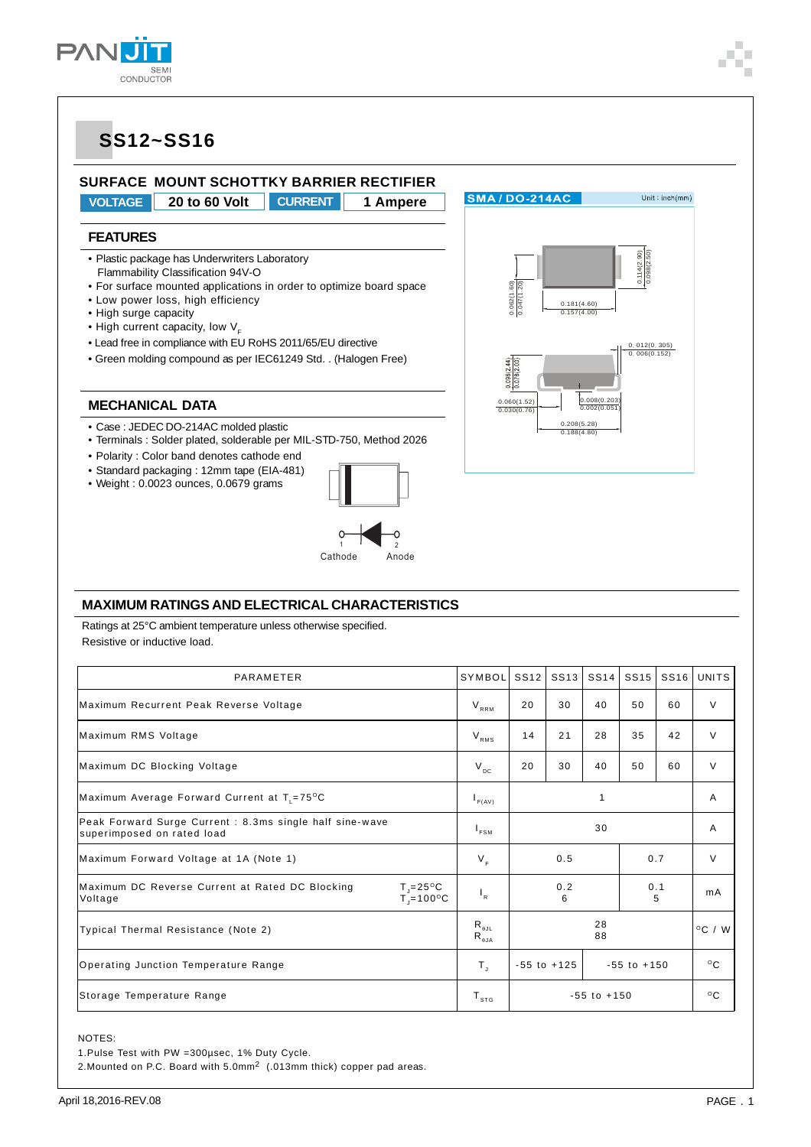

### **SS12~SS16**



**VOLTAGE 20 to 60 Volt CURRENT 1 Ampere**

#### **FEATURES**

- Plastic package has Underwriters Laboratory Flammability Classification 94V-O
- For surface mounted applications in order to optimize board space
- Low power loss, high efficiency
- High surge capacity
- High current capacity, low  $V_F$
- Lead free in compliance with EU RoHS 2011/65/EU directive
- Green molding compound as per IEC61249 Std. . (Halogen Free)

#### **MECHANICAL DATA**

- Case : JEDEC DO-214AC molded plastic
- Terminals : Solder plated, solderable per MIL-STD-750, Method 2026
- Polarity : Color band denotes cathode end
- Standard packaging : 12mm tape (EIA-481)
- Weight : 0.0023 ounces, 0.0679 grams



0.062(1.60) 0.047(1.20)

SMA/DO-214AC

0.060(1.52) 0.030(0.76)

0.181(4.60) 0.157(4.00)

0.208(5.28) 0.188(4.80)

0.008(0.203) 0.002(0.051)

0.114(2.90) 0.098(2.50)

 $Unit : inch(mm)$ 

0. 012(0. 305)<br>0. 006(0.152)

#### **MAXIMUM RATINGS AND ELECTRICAL CHARACTERISTICS**

Ratings at 25°C ambient temperature unless otherwise specified. Resistive or inductive load.

| PARAMETER                                                                                                          | SYMBOL                                                               | SS <sub>12</sub> | SS <sub>13</sub>                   | <b>SS14</b> | SS <sub>15</sub> | SS16 | UNITS            |
|--------------------------------------------------------------------------------------------------------------------|----------------------------------------------------------------------|------------------|------------------------------------|-------------|------------------|------|------------------|
| Maximum Recurrent Peak Reverse Voltage                                                                             | $\mathsf{V}_{\scriptscriptstyle \sf{RRM}}$                           | 20               | 30                                 | 40          | 50               | 60   | $\vee$           |
| Maximum RMS Voltage                                                                                                | $V_{RMS}$                                                            | 14               | 21                                 | 28          | 35               | 42   | $\vee$           |
| Maximum DC Blocking Voltage                                                                                        | $V_{DC}$                                                             | 20               | 30                                 | 40          | 50               | 60   | $\vee$           |
| Maximum Average Forward Current at $T_1 = 75^{\circ}C$                                                             | $I_{F(AV)}$                                                          | 1                |                                    |             |                  |      | A                |
| Peak Forward Surge Current : 8.3ms single half sine-wave<br>superimposed on rated load                             | $\mathsf{r}_{\texttt{FSM}}$                                          | 30               |                                    |             |                  |      | A                |
| Maximum Forward Voltage at 1A (Note 1)                                                                             | $V_F$                                                                | 0.5              |                                    |             | 0.7              |      | $\vee$           |
| Maximum DC Reverse Current at Rated DC Blocking<br>$T = 25^{\circ}C$<br>$T_{\text{J}}$ =100 $\text{°C}$<br>Voltage | $\mathsf{I}_\mathsf{R}$                                              | 0.2<br>6         |                                    | 0.1<br>5    |                  | mA   |                  |
| Typical Thermal Resistance (Note 2)                                                                                | $R_{\theta JL}$<br>$\mathsf{R}_{_{\boldsymbol{\theta} \mathsf{JA}}}$ | 28<br>88         |                                    |             |                  |      | $^{\circ}$ C / W |
| Operating Junction Temperature Range                                                                               | $T_{\rm J}$                                                          |                  | $-55$ to $+125$<br>$-55$ to $+150$ |             |                  |      | $^{\circ}$ C     |
| Storage Temperature Range                                                                                          | $T_{\rm s\tau G}$                                                    | $-55$ to $+150$  |                                    |             |                  |      | $^{\circ}$ C     |

NOTES:

1.Pulse Test with PW =300µsec, 1% Duty Cycle.

2.Mounted on P.C. Board with 5.0mm2 (.013mm thick) copper pad areas.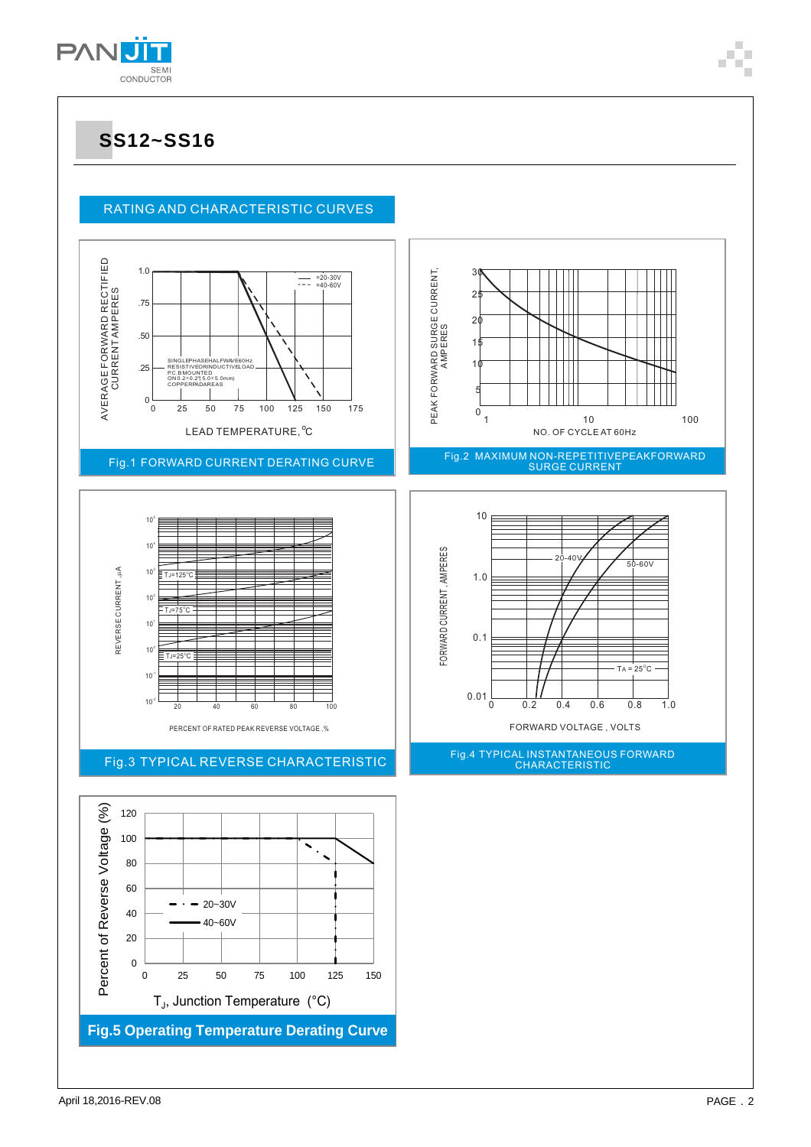

### **SS12~SS16**

### RATING AND CHARACTERISTIC CURVES



 ${\sf T}_{\sf J}$ , Junction Temperature (°C)

**Fig.5 Operating Temperature Derating Curve**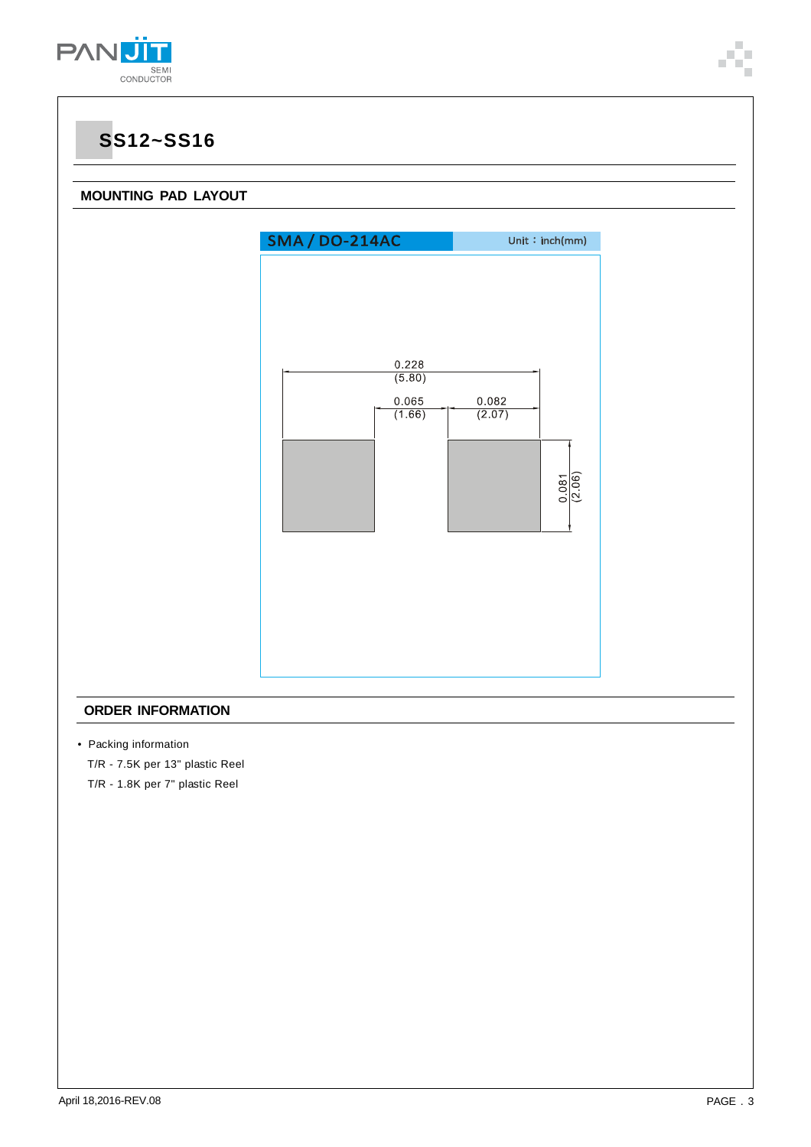

### **SS12~SS16**

### **MOUNTING PAD LAYOUT**



### **ORDER INFORMATION**

• Packing information

T/R - 7.5K per 13" plastic Reel

T/R - 1.8K per 7" plastic Reel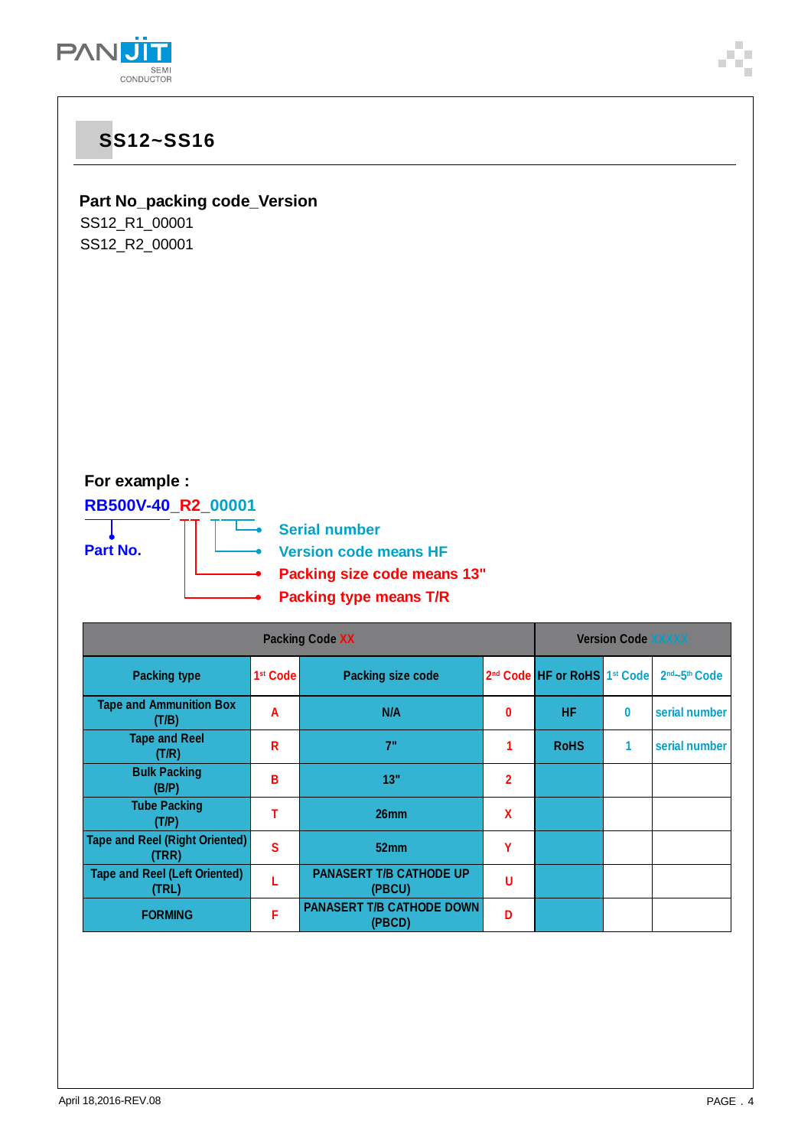

# **SS12~SS16 Part No\_packing code\_Version** SS12\_R1\_00001 SS12\_R2\_00001 **For example : RB500V-40\_R2\_00001**  $\overline{\phantom{a}}$ **Serial number Part No. Version code means HF Packing size code means 13" Packing type means T/R Packing Code XX Version Code XXXXX Packing type 1st Code Packing size code** 2nd Code **HF or RoHS** 1st Code 2nd -5th Code **Tape and Ammunition Box (T/B) <sup>A</sup> N/A <sup>0</sup> HF 0 serial number Tape and Reel (T/R) <sup>R</sup> 7" <sup>1</sup> RoHS 1 serial number Bulk Packing (B/P) <sup>B</sup> 13" <sup>2</sup> Tube Packing**

**(T/P) <sup>T</sup> 26mm <sup>X</sup>**

**(TRR) <sup>S</sup> 52mm <sup>Y</sup>**

**(PBCU) <sup>U</sup>**

**(PBCD) <sup>D</sup>**

**(TRL) <sup>L</sup> PANASERT T/B CATHODE UP**

**FIGRAL REPORMING FIGRAL REPORMING** 

**Tape and Reel (Right Oriented)**

**Tape and Reel (Left Oriented)**